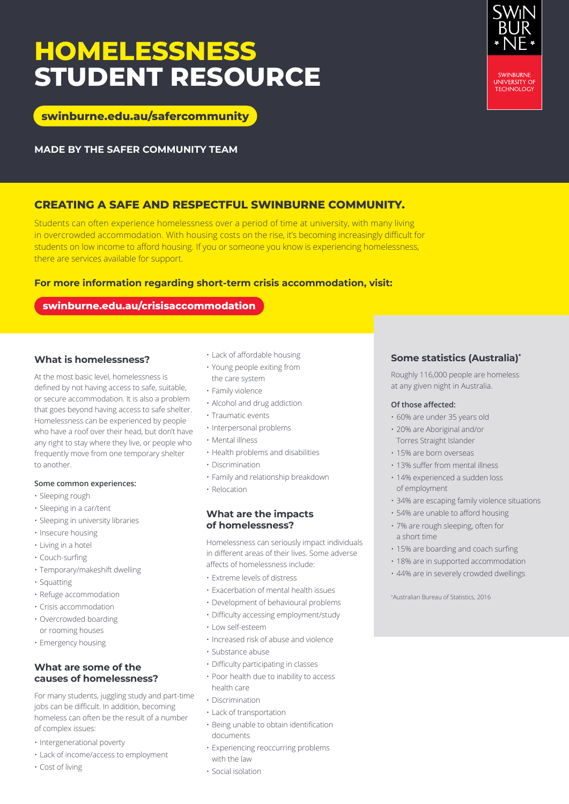## **HOMELESSNESS STUDENT RESOURCE**

**[swinburne.edu.au/safercommunity](http://www.swinburne.edu.au/safercommunity)**

**MADE BY THE SAFER COMMUNITY TEAM**

### **CREATING A SAFE AND RESPECTFUL SWINBURNE COMMUNITY.**

Students can often experience homelessness over a period of time at university, with many living in overcrowded accommodation. With housing costs on the rise, it's becoming increasingly difficult for students on low income to afford housing. If you or someone you know is experiencing homelessness, there are services available for support.

#### **For more information regarding short-term crisis accommodation, visit:**

#### **[swinburne.edu.au/crisisaccommodation](https://www.swinburne.edu.au/crisisaccommodation)**

#### **What is homelessness?**

At the most basic level, homelessness is defined by not having access to safe, suitable, or secure accommodation. It is also a problem that goes beyond having access to safe shelter. Homelessness can be experienced by people who have a roof over their head, but don't have any right to stay where they live, or people who frequently move from one temporary shelter to another.

#### **Some common experiences:**

- Sleeping rough
- Sleeping in a car/tent
- Sleeping in university libraries
- Insecure housing
- Living in a hotel
- Couch-surfing
- Temporary/makeshift dwelling
- Squatting
- Refuge accommodation
- Crisis accommodation
- Overcrowded boarding or rooming houses
- Emergency housing

#### **What are some of the causes of homelessness?**

For many students, juggling study and part-time jobs can be difficult. In addition, becoming homeless can often be the result of a number of complex issues:

- Intergenerational poverty
- Lack of income/access to employment
- Cost of living
- Lack of affordable housing
- Young people exiting from the care system
- Family violence
- Alcohol and drug addiction
- Traumatic events
- Interpersonal problems
- Mental illness
- Health problems and disabilities
- Discrimination
- Family and relationship breakdown
- Relocation

#### **What are the impacts of homelessness?**

Homelessness can seriously impact individuals in different areas of their lives. Some adverse affects of homelessness include:

- Extreme levels of distress
- Exacerbation of mental health issues
- Development of behavioural problems
- Difficulty accessing employment/study
- Low self-esteem
- Increased risk of abuse and violence
- Substance abuse
- Difficulty participating in classes
- Poor health due to inability to access health care
- Discrimination
- Lack of transportation
- Being unable to obtain identification documents
- Experiencing reoccurring problems with the law
- Social isolation

### **Some statistics (Australia)\***

Roughly 116,000 people are homeless at any given night in Australia.

#### **Of those affected:**

- 60% are under 35 years old
- 20% are Aboriginal and/or
- Torres Straight Islander
- 15% are born overseas
- 13% suffer from mental illness
- 14% experienced a sudden loss of employment
- 34% are escaping family violence situations
- 54% are unable to afford housing
- 7% are rough sleeping, often for a short time
- 15% are boarding and coach surfing
- 18% are in supported accommodation
- 44% are in severely crowded dwellings

\* Australian Bureau of Statistics, 2016

**SWINBURNE** UNIVERSITY OF<br>TECHNOLOGY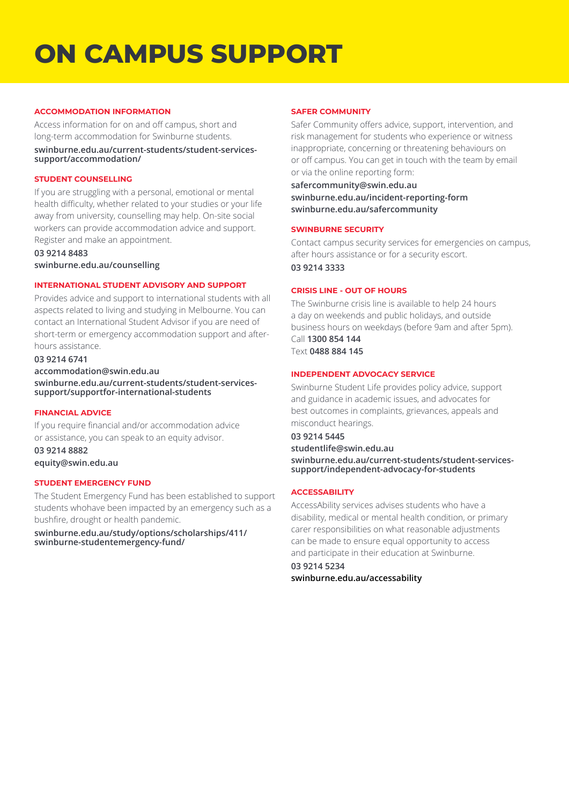# **ON CAMPUS SUPPORT**

#### **ACCOMMODATION INFORMATION**

Access information for on and off campus, short and long-term accommodation for Swinburne students.

**[swinburne.edu.au/current-students/student-services](https://www.swinburne.edu.au/current-students/student-services-support/accommodation/)[support/accommodation/](https://www.swinburne.edu.au/current-students/student-services-support/accommodation/)**

#### **STUDENT COUNSELLING**

If you are struggling with a personal, emotional or mental health difficulty, whether related to your studies or your life away from university, counselling may help. On-site social workers can provide accommodation advice and support. Register and make an appointment.

**03 9214 8483 [swinburne.edu.au/counselling](https://www.swinburne.edu.au/current-students/student-services-support/health-wellbeing/services/)**

#### **INTERNATIONAL STUDENT ADVISORY AND SUPPORT**

Provides advice and support to international students with all aspects related to living and studying in Melbourne. You can contact an International Student Advisor if you are need of short-term or emergency accommodation support and afterhours assistance.

#### **03 9214 6741**

**[accommodation@swin.edu.au](mailto:accommodation%40swin.edu.au%20?subject=)**

**[swinburne.edu.au/current-students/student-services](https://www.swinburne.edu.au/current-students/student-services-support/support-for-international-students)[support/supportfor-international-students](https://www.swinburne.edu.au/current-students/student-services-support/support-for-international-students)**

#### **FINANCIAL ADVICE**

If you require financial and/or accommodation advice or assistance, you can speak to an equity advisor.

**03 9214 8882 [equity@swin.edu.au](mailto:equity%40swin.edu.au%20?subject=)**

#### **STUDENT EMERGENCY FUND**

The Student Emergency Fund has been established to support students whohave been impacted by an emergency such as a bushfire, drought or health pandemic.

**[swinburne.edu.au/study/options/scholarships/411/](https://www.swinburne.edu.au/study/options/scholarships/411/swinburne-student-emergency-fund/) [swinburne-studentemergency-fund/](https://www.swinburne.edu.au/study/options/scholarships/411/swinburne-student-emergency-fund/)**

#### **SAFER COMMUNITY**

Safer Community offers advice, support, intervention, and risk management for students who experience or witness inappropriate, concerning or threatening behaviours on or off campus. You can get in touch with the team by email or via the online reporting form:

**[safercommunity@swin.edu.au](mailto:safercommunity%40swin.edu.au%0D?subject=) [swinburne.edu.au/incident-reporting-form](https://www.swinburne.edu.au/form/safer-community-online-reporting/) [swinburne.edu.au/safercommunity](https://www.swinburne.edu.au/about/campuses-facilities/safety-security/)**

#### **SWINBURNE SECURITY**

Contact campus security services for emergencies on campus, after hours assistance or for a security escort. **03 9214 3333**

#### **CRISIS LINE - OUT OF HOURS**

The Swinburne crisis line is available to help 24 hours a day on weekends and public holidays, and outside business hours on weekdays (before 9am and after 5pm). Call **1300 854 144** Text **0488 884 145**

#### **INDEPENDENT ADVOCACY SERVICE**

Swinburne Student Life provides policy advice, support and guidance in academic issues, and advocates for best outcomes in complaints, grievances, appeals and misconduct hearings.

#### **03 9214 5445**

**[studentlife@swin.edu.au](mailto:studentlife%40swin.edu.au%20?subject=) [swinburne.edu.au/current-students/student-services](https://www.swinburne.edu.au/current-students/student-services-support/independent-advocacy-for-students/)[support/independent-advocacy-for-students](https://www.swinburne.edu.au/current-students/student-services-support/independent-advocacy-for-students/)**

#### **ACCESSABILITY**

AccessAbility services advises students who have a disability, medical or mental health condition, or primary carer responsibilities on what reasonable adjustments can be made to ensure equal opportunity to access and participate in their education at Swinburne.

**03 9214 5234 [swinburne.edu.au/accessability](http://swinburne.edu.au/accessability)**